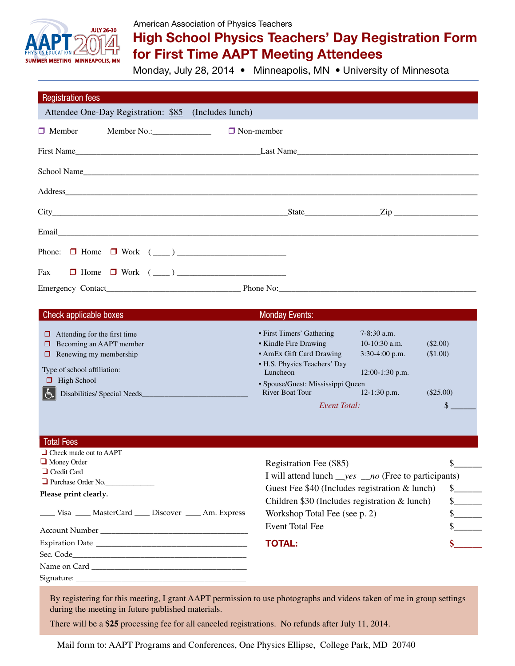

## American Association of Physics Teachers

## High School Physics Teachers' Day Registration Form for First Time AAPT Meeting Attendees

Monday, July 28, 2014 • Minneapolis, MN • University of Minnesota

| <b>Registration fees</b>                                                                                                                                  |                                                    |                                                |
|-----------------------------------------------------------------------------------------------------------------------------------------------------------|----------------------------------------------------|------------------------------------------------|
| Attendee One-Day Registration: \$85 (Includes lunch)                                                                                                      |                                                    |                                                |
| Member No.: ___________________<br>$\Box$ Member                                                                                                          | $\Box$ Non-member                                  |                                                |
|                                                                                                                                                           |                                                    |                                                |
| School Name                                                                                                                                               |                                                    |                                                |
|                                                                                                                                                           |                                                    |                                                |
|                                                                                                                                                           |                                                    | $State$ $Zip$ $Zip$                            |
|                                                                                                                                                           |                                                    |                                                |
|                                                                                                                                                           |                                                    |                                                |
| $\Box$ Home $\Box$ Work $(\underline{\hspace{1cm}})$<br>Fax                                                                                               |                                                    |                                                |
|                                                                                                                                                           |                                                    |                                                |
| Check applicable boxes<br>$\mathcal{L}^{\text{max}}_{\text{max}}$ and $\mathcal{L}^{\text{max}}_{\text{max}}$ and $\mathcal{L}^{\text{max}}_{\text{max}}$ | <b>Monday Events:</b>                              |                                                |
| Attending for the first time<br>$\Box$<br>$\Box$ Becoming an AAPT member                                                                                  | • First Timers' Gathering<br>• Kindle Fire Drawing | $7-8:30$ a.m.<br>$10-10:30$ a.m.<br>$(\$2.00)$ |

| $\Box$ Becoming an AAPT member                    | • Kindle Fire Drawing                    | $10-10:30$ a.m.   | (\$2.00)    |  |
|---------------------------------------------------|------------------------------------------|-------------------|-------------|--|
| $\Box$ Renewing my membership                     | • AmEx Gift Card Drawing                 | $3:30-4:00$ p.m.  | (\$1.00)    |  |
| Type of school affiliation:                       | • H.S. Physics Teachers' Day<br>Luncheon | $12:00-1:30$ p.m. |             |  |
| $\Box$ High School                                | • Spouse/Guest: Mississippi Queen        |                   |             |  |
| $\mathbb{E}% _{a}$<br>Disabilities/ Special Needs | <b>River Boat Tour</b>                   | $12-1:30$ p.m.    | $(\$25.00)$ |  |
|                                                   | Event Total:                             |                   |             |  |

| <b>Total Fees</b><br>$\Box$ Check made out to AAPT                                                                                                                                                                            |                                                                       |              |
|-------------------------------------------------------------------------------------------------------------------------------------------------------------------------------------------------------------------------------|-----------------------------------------------------------------------|--------------|
| $\Box$ Money Order                                                                                                                                                                                                            | Registration Fee (\$85)                                               |              |
| $\Box$ Credit Card<br>Purchase Order No.                                                                                                                                                                                      | I will attend lunch $\_\text{yes} \_\text{no}$ (Free to participants) |              |
| Please print clearly.                                                                                                                                                                                                         | Guest Fee $$40$ (Includes registration & lunch)                       | $\mathbb{S}$ |
|                                                                                                                                                                                                                               | Children \$30 (Includes registration $&$ lunch)                       | $\mathbb{S}$ |
| ____ Visa ____ MasterCard ____ Discover ____ Am. Express                                                                                                                                                                      | Workshop Total Fee (see p. 2)                                         |              |
| Account Number and the second services of the services of the services of the services of the services of the services of the services of the services of the services of the services of the services of the services of the | Event Total Fee                                                       |              |
|                                                                                                                                                                                                                               | <b>TOTAL:</b>                                                         |              |
|                                                                                                                                                                                                                               |                                                                       |              |
|                                                                                                                                                                                                                               |                                                                       |              |
|                                                                                                                                                                                                                               |                                                                       |              |

By registering for this meeting, I grant AAPT permission to use photographs and videos taken of me in group settings during the meeting in future published materials.

There will be a **\$25** processing fee for all canceled registrations. No refunds after July 11, 2014.

Mail form to: AAPT Programs and Conferences, One Physics Ellipse, College Park, MD 20740